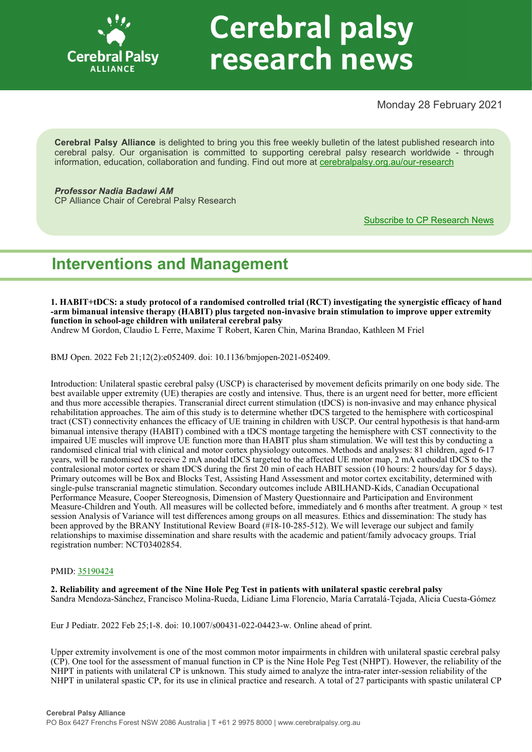

# **Cerebral palsy** research news

Monday 28 February 2021

**Cerebral Palsy Alliance** is delighted to bring you this free weekly bulletin of the latest published research into cerebral palsy. Our organisation is committed to supporting cerebral palsy research worldwide - through information, education, collaboration and funding. Find out more at [cerebralpalsy.org.au/our](https://cerebralpalsy.org.au/our-research/)-research

*Professor Nadia Badawi AM* CP Alliance Chair of Cerebral Palsy Research

[Subscribe to CP Research News](https://cerebralpalsy.org.au/our-research/get-involved-research/cp-research-newsletters/)

# **Interventions and Management**

**1. HABIT+tDCS: a study protocol of a randomised controlled trial (RCT) investigating the synergistic efficacy of hand -arm bimanual intensive therapy (HABIT) plus targeted non-invasive brain stimulation to improve upper extremity function in school-age children with unilateral cerebral palsy** Andrew M Gordon, Claudio L Ferre, Maxime T Robert, Karen Chin, Marina Brandao, Kathleen M Friel

BMJ Open. 2022 Feb 21;12(2):e052409. doi: 10.1136/bmjopen-2021-052409.

Introduction: Unilateral spastic cerebral palsy (USCP) is characterised by movement deficits primarily on one body side. The best available upper extremity (UE) therapies are costly and intensive. Thus, there is an urgent need for better, more efficient and thus more accessible therapies. Transcranial direct current stimulation (tDCS) is non-invasive and may enhance physical rehabilitation approaches. The aim of this study is to determine whether tDCS targeted to the hemisphere with corticospinal tract (CST) connectivity enhances the efficacy of UE training in children with USCP. Our central hypothesis is that hand-arm bimanual intensive therapy (HABIT) combined with a tDCS montage targeting the hemisphere with CST connectivity to the impaired UE muscles will improve UE function more than HABIT plus sham stimulation. We will test this by conducting a randomised clinical trial with clinical and motor cortex physiology outcomes. Methods and analyses: 81 children, aged 6-17 years, will be randomised to receive 2 mA anodal tDCS targeted to the affected UE motor map, 2 mA cathodal tDCS to the contralesional motor cortex or sham tDCS during the first 20 min of each HABIT session (10 hours: 2 hours/day for 5 days). Primary outcomes will be Box and Blocks Test, Assisting Hand Assessment and motor cortex excitability, determined with single-pulse transcranial magnetic stimulation. Secondary outcomes include ABILHAND-Kids, Canadian Occupational Performance Measure, Cooper Stereognosis, Dimension of Mastery Questionnaire and Participation and Environment Measure-Children and Youth. All measures will be collected before, immediately and 6 months after treatment. A group  $\times$  test session Analysis of Variance will test differences among groups on all measures. Ethics and dissemination: The study has been approved by the BRANY Institutional Review Board (#18-10-285-512). We will leverage our subject and family relationships to maximise dissemination and share results with the academic and patient/family advocacy groups. Trial registration number: NCT03402854.

# PMID: [35190424](http://www.ncbi.nlm.nih.gov/pubmed/35190424)

**2. Reliability and agreement of the Nine Hole Peg Test in patients with unilateral spastic cerebral palsy** Sandra Mendoza-Sánchez, Francisco Molina-Rueda, Lidiane Lima Florencio, María Carratalá-Tejada, Alicia Cuesta-Gómez

Eur J Pediatr. 2022 Feb 25;1-8. doi: 10.1007/s00431-022-04423-w. Online ahead of print.

Upper extremity involvement is one of the most common motor impairments in children with unilateral spastic cerebral palsy (CP). One tool for the assessment of manual function in CP is the Nine Hole Peg Test (NHPT). However, the reliability of the NHPT in patients with unilateral CP is unknown. This study aimed to analyze the intra-rater inter-session reliability of the NHPT in unilateral spastic CP, for its use in clinical practice and research. A total of 27 participants with spastic unilateral CP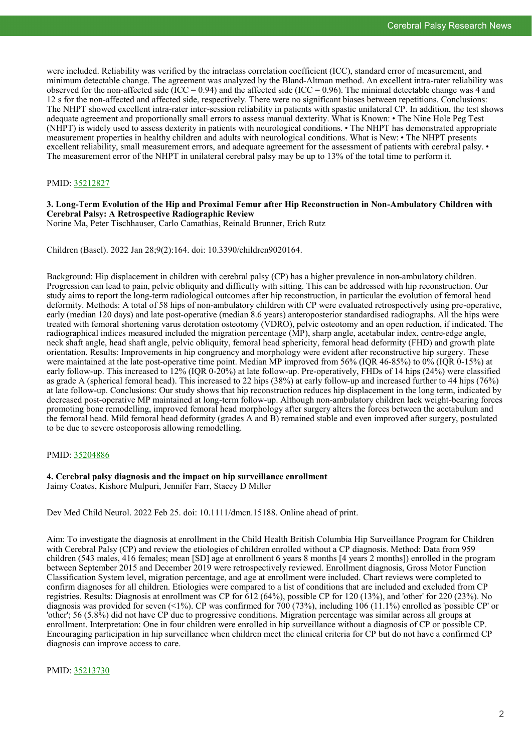were included. Reliability was verified by the intraclass correlation coefficient (ICC), standard error of measurement, and minimum detectable change. The agreement was analyzed by the Bland-Altman method. An excellent intra-rater reliability was observed for the non-affected side (ICC = 0.94) and the affected side (ICC = 0.96). The minimal detectable change was 4 and 12 s for the non-affected and affected side, respectively. There were no significant biases between repetitions. Conclusions: The NHPT showed excellent intra-rater inter-session reliability in patients with spastic unilateral CP. In addition, the test shows adequate agreement and proportionally small errors to assess manual dexterity. What is Known: • The Nine Hole Peg Test (NHPT) is widely used to assess dexterity in patients with neurological conditions. • The NHPT has demonstrated appropriate measurement properties in healthy children and adults with neurological conditions. What is New: • The NHPT presents excellent reliability, small measurement errors, and adequate agreement for the assessment of patients with cerebral palsy. The measurement error of the NHPT in unilateral cerebral palsy may be up to 13% of the total time to perform it.

# PMID: [35212827](http://www.ncbi.nlm.nih.gov/pubmed/35212827)

# **3. Long-Term Evolution of the Hip and Proximal Femur after Hip Reconstruction in Non-Ambulatory Children with Cerebral Palsy: A Retrospective Radiographic Review**

Norine Ma, Peter Tischhauser, Carlo Camathias, Reinald Brunner, Erich Rutz

Children (Basel). 2022 Jan 28;9(2):164. doi: 10.3390/children9020164.

Background: Hip displacement in children with cerebral palsy (CP) has a higher prevalence in non-ambulatory children. Progression can lead to pain, pelvic obliquity and difficulty with sitting. This can be addressed with hip reconstruction. Our study aims to report the long-term radiological outcomes after hip reconstruction, in particular the evolution of femoral head deformity. Methods: A total of 58 hips of non-ambulatory children with CP were evaluated retrospectively using pre-operative, early (median 120 days) and late post-operative (median 8.6 years) anteroposterior standardised radiographs. All the hips were treated with femoral shortening varus derotation osteotomy (VDRO), pelvic osteotomy and an open reduction, if indicated. The radiographical indices measured included the migration percentage (MP), sharp angle, acetabular index, centre-edge angle, neck shaft angle, head shaft angle, pelvic obliquity, femoral head sphericity, femoral head deformity (FHD) and growth plate orientation. Results: Improvements in hip congruency and morphology were evident after reconstructive hip surgery. These were maintained at the late post-operative time point. Median MP improved from 56% (IQR 46-85%) to 0% (IQR 0-15%) at early follow-up. This increased to 12% (IQR 0-20%) at late follow-up. Pre-operatively, FHDs of 14 hips (24%) were classified as grade A (spherical femoral head). This increased to 22 hips (38%) at early follow-up and increased further to 44 hips (76%) at late follow-up. Conclusions: Our study shows that hip reconstruction reduces hip displacement in the long term, indicated by decreased post-operative MP maintained at long-term follow-up. Although non-ambulatory children lack weight-bearing forces promoting bone remodelling, improved femoral head morphology after surgery alters the forces between the acetabulum and the femoral head. Mild femoral head deformity (grades A and B) remained stable and even improved after surgery, postulated to be due to severe osteoporosis allowing remodelling.

# PMID: [35204886](http://www.ncbi.nlm.nih.gov/pubmed/35204886)

**4. Cerebral palsy diagnosis and the impact on hip surveillance enrollment** Jaimy Coates, Kishore Mulpuri, Jennifer Farr, Stacey D Miller

Dev Med Child Neurol. 2022 Feb 25. doi: 10.1111/dmcn.15188. Online ahead of print.

Aim: To investigate the diagnosis at enrollment in the Child Health British Columbia Hip Surveillance Program for Children with Cerebral Palsy (CP) and review the etiologies of children enrolled without a CP diagnosis. Method: Data from 959 children (543 males, 416 females; mean [SD] age at enrollment 6 years 8 months [4 years 2 months]) enrolled in the program between September 2015 and December 2019 were retrospectively reviewed. Enrollment diagnosis, Gross Motor Function Classification System level, migration percentage, and age at enrollment were included. Chart reviews were completed to confirm diagnoses for all children. Etiologies were compared to a list of conditions that are included and excluded from CP registries. Results: Diagnosis at enrollment was CP for 612 (64%), possible CP for 120 (13%), and 'other' for 220 (23%). No diagnosis was provided for seven  $\langle 1\% \rangle$ . CP was confirmed for 700 (73%), including 106 (11.1%) enrolled as 'possible CP' or 'other'; 56 (5.8%) did not have CP due to progressive conditions. Migration percentage was similar across all groups at enrollment. Interpretation: One in four children were enrolled in hip surveillance without a diagnosis of CP or possible CP. Encouraging participation in hip surveillance when children meet the clinical criteria for CP but do not have a confirmed CP diagnosis can improve access to care.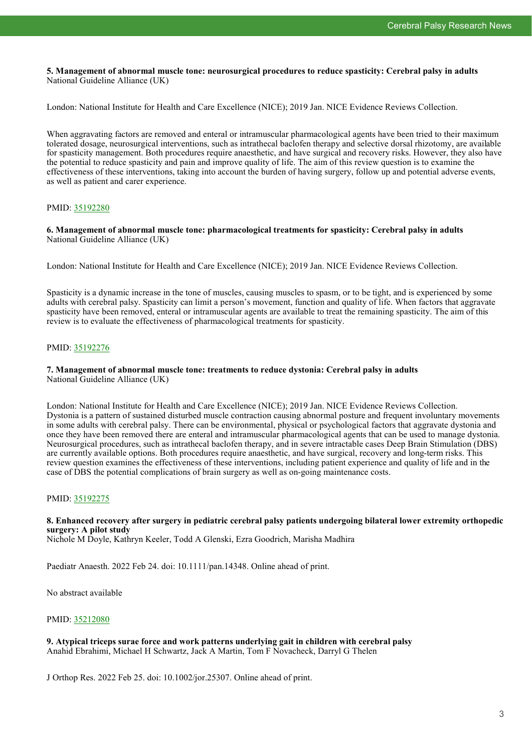**5. Management of abnormal muscle tone: neurosurgical procedures to reduce spasticity: Cerebral palsy in adults** National Guideline Alliance (UK)

London: National Institute for Health and Care Excellence (NICE); 2019 Jan. NICE Evidence Reviews Collection.

When aggravating factors are removed and enteral or intramuscular pharmacological agents have been tried to their maximum tolerated dosage, neurosurgical interventions, such as intrathecal baclofen therapy and selective dorsal rhizotomy, are available for spasticity management. Both procedures require anaesthetic, and have surgical and recovery risks. However, they also have the potential to reduce spasticity and pain and improve quality of life. The aim of this review question is to examine the effectiveness of these interventions, taking into account the burden of having surgery, follow up and potential adverse events, as well as patient and carer experience.

# PMID: [35192280](http://www.ncbi.nlm.nih.gov/pubmed/35192280)

**6. Management of abnormal muscle tone: pharmacological treatments for spasticity: Cerebral palsy in adults** National Guideline Alliance (UK)

London: National Institute for Health and Care Excellence (NICE); 2019 Jan. NICE Evidence Reviews Collection.

Spasticity is a dynamic increase in the tone of muscles, causing muscles to spasm, or to be tight, and is experienced by some adults with cerebral palsy. Spasticity can limit a person's movement, function and quality of life. When factors that aggravate spasticity have been removed, enteral or intramuscular agents are available to treat the remaining spasticity. The aim of this review is to evaluate the effectiveness of pharmacological treatments for spasticity.

# PMID: [35192276](http://www.ncbi.nlm.nih.gov/pubmed/35192276)

# **7. Management of abnormal muscle tone: treatments to reduce dystonia: Cerebral palsy in adults**

National Guideline Alliance (UK)

London: National Institute for Health and Care Excellence (NICE); 2019 Jan. NICE Evidence Reviews Collection. Dystonia is a pattern of sustained disturbed muscle contraction causing abnormal posture and frequent involuntary movements in some adults with cerebral palsy. There can be environmental, physical or psychological factors that aggravate dystonia and once they have been removed there are enteral and intramuscular pharmacological agents that can be used to manage dystonia. Neurosurgical procedures, such as intrathecal baclofen therapy, and in severe intractable cases Deep Brain Stimulation (DBS) are currently available options. Both procedures require anaesthetic, and have surgical, recovery and long-term risks. This review question examines the effectiveness of these interventions, including patient experience and quality of life and in the case of DBS the potential complications of brain surgery as well as on-going maintenance costs.

# PMID: [35192275](http://www.ncbi.nlm.nih.gov/pubmed/35192275)

# **8. Enhanced recovery after surgery in pediatric cerebral palsy patients undergoing bilateral lower extremity orthopedic surgery: A pilot study**

Nichole M Doyle, Kathryn Keeler, Todd A Glenski, Ezra Goodrich, Marisha Madhira

Paediatr Anaesth. 2022 Feb 24. doi: 10.1111/pan.14348. Online ahead of print.

No abstract available

# PMID: [35212080](http://www.ncbi.nlm.nih.gov/pubmed/35212080)

**9. Atypical triceps surae force and work patterns underlying gait in children with cerebral palsy** Anahid Ebrahimi, Michael H Schwartz, Jack A Martin, Tom F Novacheck, Darryl G Thelen

J Orthop Res. 2022 Feb 25. doi: 10.1002/jor.25307. Online ahead of print.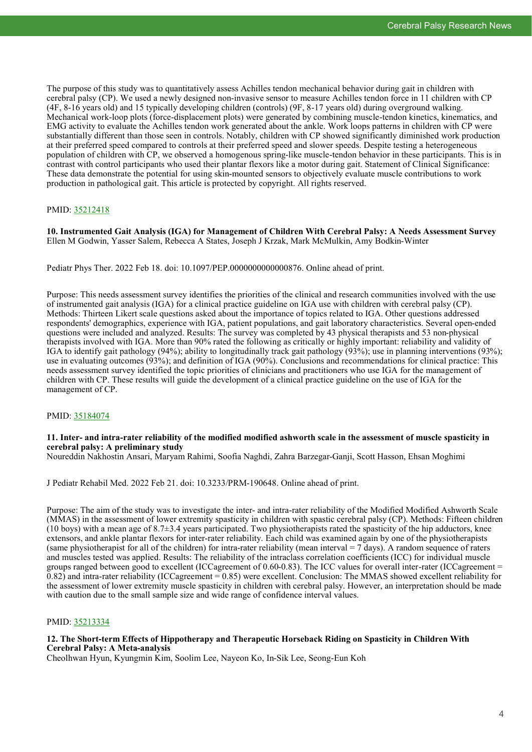The purpose of this study was to quantitatively assess Achilles tendon mechanical behavior during gait in children with cerebral palsy (CP). We used a newly designed non-invasive sensor to measure Achilles tendon force in 11 children with CP (4F, 8-16 years old) and 15 typically developing children (controls) (9F, 8-17 years old) during overground walking. Mechanical work-loop plots (force-displacement plots) were generated by combining muscle-tendon kinetics, kinematics, and EMG activity to evaluate the Achilles tendon work generated about the ankle. Work loops patterns in children with CP were substantially different than those seen in controls. Notably, children with CP showed significantly diminished work production at their preferred speed compared to controls at their preferred speed and slower speeds. Despite testing a heterogeneous population of children with CP, we observed a homogenous spring-like muscle-tendon behavior in these participants. This is in contrast with control participants who used their plantar flexors like a motor during gait. Statement of Clinical Significance: These data demonstrate the potential for using skin-mounted sensors to objectively evaluate muscle contributions to work production in pathological gait. This article is protected by copyright. All rights reserved.

# PMID: [35212418](http://www.ncbi.nlm.nih.gov/pubmed/35212418)

**10. Instrumented Gait Analysis (IGA) for Management of Children With Cerebral Palsy: A Needs Assessment Survey** Ellen M Godwin, Yasser Salem, Rebecca A States, Joseph J Krzak, Mark McMulkin, Amy Bodkin-Winter

Pediatr Phys Ther. 2022 Feb 18. doi: 10.1097/PEP.0000000000000876. Online ahead of print.

Purpose: This needs assessment survey identifies the priorities of the clinical and research communities involved with the use of instrumented gait analysis (IGA) for a clinical practice guideline on IGA use with children with cerebral palsy (CP). Methods: Thirteen Likert scale questions asked about the importance of topics related to IGA. Other questions addressed respondents' demographics, experience with IGA, patient populations, and gait laboratory characteristics. Several open-ended questions were included and analyzed. Results: The survey was completed by 43 physical therapists and 53 non-physical therapists involved with IGA. More than 90% rated the following as critically or highly important: reliability and validity of IGA to identify gait pathology (94%); ability to longitudinally track gait pathology (93%); use in planning interventions (93%); use in evaluating outcomes (93%); and definition of IGA (90%). Conclusions and recommendations for clinical practice: This needs assessment survey identified the topic priorities of clinicians and practitioners who use IGA for the management of children with CP. These results will guide the development of a clinical practice guideline on the use of IGA for the management of CP.

# PMID: [35184074](http://www.ncbi.nlm.nih.gov/pubmed/35184074)

# **11. Inter- and intra-rater reliability of the modified modified ashworth scale in the assessment of muscle spasticity in cerebral palsy: A preliminary study**

Noureddin Nakhostin Ansari, Maryam Rahimi, Soofia Naghdi, Zahra Barzegar-Ganji, Scott Hasson, Ehsan Moghimi

J Pediatr Rehabil Med. 2022 Feb 21. doi: 10.3233/PRM-190648. Online ahead of print.

Purpose: The aim of the study was to investigate the inter- and intra-rater reliability of the Modified Modified Ashworth Scale (MMAS) in the assessment of lower extremity spasticity in children with spastic cerebral palsy (CP). Methods: Fifteen children  $(10 \text{ boys})$  with a mean age of  $8.7\pm3.4$  years participated. Two physiotherapists rated the spasticity of the hip adductors, knee extensors, and ankle plantar flexors for inter-rater reliability. Each child was examined again by one of the physiotherapists (same physiotherapist for all of the children) for intra-rater reliability (mean interval = 7 days). A random sequence of raters and muscles tested was applied. Results: The reliability of the intraclass correlation coefficients (ICC) for individual muscle groups ranged between good to excellent (ICCagreement of 0.60-0.83). The ICC values for overall inter-rater (ICCagreement =  $0.82$ ) and intra-rater reliability (ICCagreement = 0.85) were excellent. Conclusion: The MMAS showed excellent reliability for the assessment of lower extremity muscle spasticity in children with cerebral palsy. However, an interpretation should be made with caution due to the small sample size and wide range of confidence interval values.

# PMID: [35213334](http://www.ncbi.nlm.nih.gov/pubmed/35213334)

# **12. The Short-term Effects of Hippotherapy and Therapeutic Horseback Riding on Spasticity in Children With Cerebral Palsy: A Meta-analysis**

Cheolhwan Hyun, Kyungmin Kim, Soolim Lee, Nayeon Ko, In-Sik Lee, Seong-Eun Koh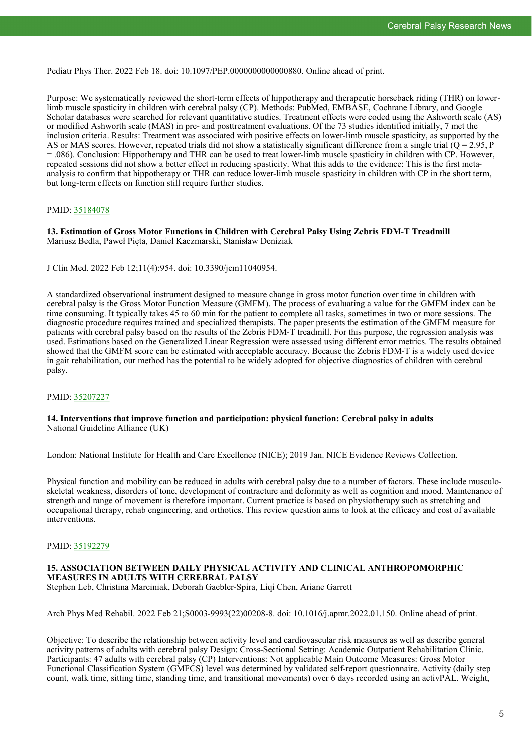Pediatr Phys Ther. 2022 Feb 18. doi: 10.1097/PEP.0000000000000880. Online ahead of print.

Purpose: We systematically reviewed the short-term effects of hippotherapy and therapeutic horseback riding (THR) on lowerlimb muscle spasticity in children with cerebral palsy (CP). Methods: PubMed, EMBASE, Cochrane Library, and Google Scholar databases were searched for relevant quantitative studies. Treatment effects were coded using the Ashworth scale (AS) or modified Ashworth scale (MAS) in pre- and posttreatment evaluations. Of the 73 studies identified initially, 7 met the inclusion criteria. Results: Treatment was associated with positive effects on lower-limb muscle spasticity, as supported by the AS or MAS scores. However, repeated trials did not show a statistically significant difference from a single trial  $\overline{(Q)} = 2.95$ , P = .086). Conclusion: Hippotherapy and THR can be used to treat lower-limb muscle spasticity in children with CP. However, repeated sessions did not show a better effect in reducing spasticity. What this adds to the evidence: This is the first metaanalysis to confirm that hippotherapy or THR can reduce lower-limb muscle spasticity in children with CP in the short term, but long-term effects on function still require further studies.

# PMID: [35184078](http://www.ncbi.nlm.nih.gov/pubmed/35184078)

**13. Estimation of Gross Motor Functions in Children with Cerebral Palsy Using Zebris FDM-T Treadmill** Mariusz Bedla, Paweł Pięta, Daniel Kaczmarski, Stanisław Deniziak

J Clin Med. 2022 Feb 12;11(4):954. doi: 10.3390/jcm11040954.

A standardized observational instrument designed to measure change in gross motor function over time in children with cerebral palsy is the Gross Motor Function Measure (GMFM). The process of evaluating a value for the GMFM index can be time consuming. It typically takes 45 to 60 min for the patient to complete all tasks, sometimes in two or more sessions. The diagnostic procedure requires trained and specialized therapists. The paper presents the estimation of the GMFM measure for patients with cerebral palsy based on the results of the Zebris FDM-T treadmill. For this purpose, the regression analysis was used. Estimations based on the Generalized Linear Regression were assessed using different error metrics. The results obtained showed that the GMFM score can be estimated with acceptable accuracy. Because the Zebris FDM-T is a widely used device in gait rehabilitation, our method has the potential to be widely adopted for objective diagnostics of children with cerebral palsy.

# PMID: [35207227](http://www.ncbi.nlm.nih.gov/pubmed/35207227)

# **14. Interventions that improve function and participation: physical function: Cerebral palsy in adults** National Guideline Alliance (UK)

London: National Institute for Health and Care Excellence (NICE); 2019 Jan. NICE Evidence Reviews Collection.

Physical function and mobility can be reduced in adults with cerebral palsy due to a number of factors. These include musculoskeletal weakness, disorders of tone, development of contracture and deformity as well as cognition and mood. Maintenance of strength and range of movement is therefore important. Current practice is based on physiotherapy such as stretching and occupational therapy, rehab engineering, and orthotics. This review question aims to look at the efficacy and cost of available interventions.

# PMID: [35192279](http://www.ncbi.nlm.nih.gov/pubmed/35192279)

# **15. ASSOCIATION BETWEEN DAILY PHYSICAL ACTIVITY AND CLINICAL ANTHROPOMORPHIC MEASURES IN ADULTS WITH CEREBRAL PALSY**

Stephen Leb, Christina Marciniak, Deborah Gaebler-Spira, Liqi Chen, Ariane Garrett

Arch Phys Med Rehabil. 2022 Feb 21;S0003-9993(22)00208-8. doi: 10.1016/j.apmr.2022.01.150. Online ahead of print.

Objective: To describe the relationship between activity level and cardiovascular risk measures as well as describe general activity patterns of adults with cerebral palsy Design: Cross-Sectional Setting: Academic Outpatient Rehabilitation Clinic. Participants: 47 adults with cerebral palsy (CP) Interventions: Not applicable Main Outcome Measures: Gross Motor Functional Classification System (GMFCS) level was determined by validated self-report questionnaire. Activity (daily step count, walk time, sitting time, standing time, and transitional movements) over 6 days recorded using an activPAL. Weight,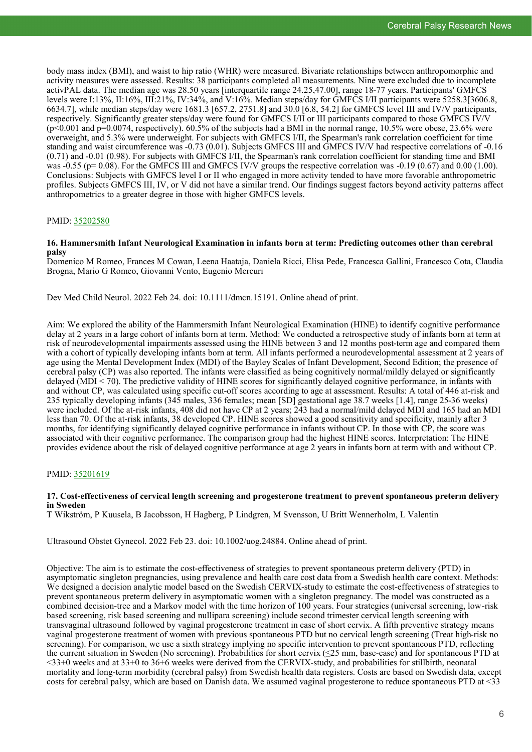body mass index (BMI), and waist to hip ratio (WHR) were measured. Bivariate relationships between anthropomorphic and activity measures were assessed. Results: 38 participants completed all measurements. Nine were excluded due to incomplete activPAL data. The median age was 28.50 years [interquartile range 24.25,47.00], range 18-77 years. Participants' GMFCS levels were I:13%, II:16%, III:21%, IV:34%, and V:16%. Median steps/day for GMFCS I/II participants were 5258.3[3606.8, 6634.7], while median steps/day were 1681.3 [657.2, 2751.8] and 30.0 [6.8, 54.2] for GMFCS level III and IV/V participants, respectively. Significantly greater steps/day were found for GMFCS I/II or III participants compared to those GMFCS IV/V  $(p<0.001$  and  $p=0.0074$ , respectively). 60.5% of the subjects had a BMI in the normal range, 10.5% were obese, 23.6% were overweight, and 5.3% were underweight. For subjects with GMFCS I/II, the Spearman's rank correlation coefficient for time standing and waist circumference was -0.73 (0.01). Subjects GMFCS III and GMFCS IV/V had respective correlations of -0.16 (0.71) and -0.01 (0.98). For subjects with GMFCS I/II, the Spearman's rank correlation coefficient for standing time and BMI was  $-0.55$  (p= 0.08). For the GMFCS III and GMFCS IV/V groups the respective correlation was  $-0.19$  (0.67) and 0.00 (1.00). Conclusions: Subjects with GMFCS level I or II who engaged in more activity tended to have more favorable anthropometric profiles. Subjects GMFCS III, IV, or V did not have a similar trend. Our findings suggest factors beyond activity patterns affect anthropometrics to a greater degree in those with higher GMFCS levels.

#### PMID: [35202580](http://www.ncbi.nlm.nih.gov/pubmed/35202580)

#### **16. Hammersmith Infant Neurological Examination in infants born at term: Predicting outcomes other than cerebral palsy**

Domenico M Romeo, Frances M Cowan, Leena Haataja, Daniela Ricci, Elisa Pede, Francesca Gallini, Francesco Cota, Claudia Brogna, Mario G Romeo, Giovanni Vento, Eugenio Mercuri

Dev Med Child Neurol. 2022 Feb 24. doi: 10.1111/dmcn.15191. Online ahead of print.

Aim: We explored the ability of the Hammersmith Infant Neurological Examination (HINE) to identify cognitive performance delay at 2 years in a large cohort of infants born at term. Method: We conducted a retrospective study of infants born at term at risk of neurodevelopmental impairments assessed using the HINE between 3 and 12 months post-term age and compared them with a cohort of typically developing infants born at term. All infants performed a neurodevelopmental assessment at 2 years of age using the Mental Development Index (MDI) of the Bayley Scales of Infant Development, Second Edition; the presence of cerebral palsy (CP) was also reported. The infants were classified as being cognitively normal/mildly delayed or significantly delayed (MDI  $\leq$  70). The predictive validity of HINE scores for significantly delayed cognitive performance, in infants with and without CP, was calculated using specific cut-off scores according to age at assessment. Results: A total of 446 at-risk and 235 typically developing infants (345 males, 336 females; mean [SD] gestational age 38.7 weeks [1.4], range 25-36 weeks) were included. Of the at-risk infants, 408 did not have CP at 2 years; 243 had a normal/mild delayed MDI and 165 had an MDI less than 70. Of the at-risk infants, 38 developed CP. HINE scores showed a good sensitivity and specificity, mainly after 3 months, for identifying significantly delayed cognitive performance in infants without CP. In those with CP, the score was associated with their cognitive performance. The comparison group had the highest HINE scores. Interpretation: The HINE provides evidence about the risk of delayed cognitive performance at age 2 years in infants born at term with and without CP.

# PMID: [35201619](http://www.ncbi.nlm.nih.gov/pubmed/35201619)

# **17. Cost-effectiveness of cervical length screening and progesterone treatment to prevent spontaneous preterm delivery in Sweden**

T Wikström, P Kuusela, B Jacobsson, H Hagberg, P Lindgren, M Svensson, U Britt Wennerholm, L Valentin

Ultrasound Obstet Gynecol. 2022 Feb 23. doi: 10.1002/uog.24884. Online ahead of print.

Objective: The aim is to estimate the cost-effectiveness of strategies to prevent spontaneous preterm delivery (PTD) in asymptomatic singleton pregnancies, using prevalence and health care cost data from a Swedish health care context. Methods: We designed a decision analytic model based on the Swedish CERVIX-study to estimate the cost-effectiveness of strategies to prevent spontaneous preterm delivery in asymptomatic women with a singleton pregnancy. The model was constructed as a combined decision-tree and a Markov model with the time horizon of 100 years. Four strategies (universal screening, low-risk based screening, risk based screening and nullipara screening) include second trimester cervical length screening with transvaginal ultrasound followed by vaginal progesterone treatment in case of short cervix. A fifth preventive strategy means vaginal progesterone treatment of women with previous spontaneous PTD but no cervical length screening (Treat high-risk no screening). For comparison, we use a sixth strategy implying no specific intervention to prevent spontaneous PTD, reflecting the current situation in Sweden (No screening). Probabilities for short cervix (≤25 mm, base-case) and for spontaneous PTD at  $\leq$ 33+0 weeks and at 33+0 to 36+6 weeks were derived from the CERVIX-study, and probabilities for stillbirth, neonatal mortality and long-term morbidity (cerebral palsy) from Swedish health data registers. Costs are based on Swedish data, except costs for cerebral palsy, which are based on Danish data. We assumed vaginal progesterone to reduce spontaneous PTD at <33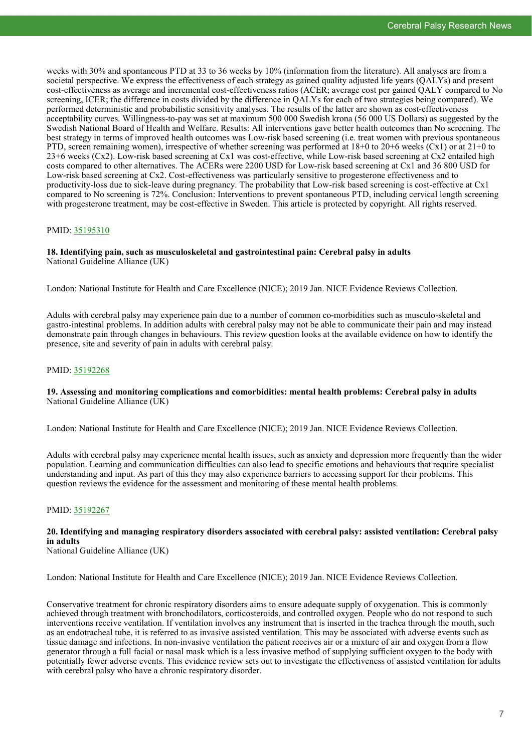weeks with 30% and spontaneous PTD at 33 to 36 weeks by 10% (information from the literature). All analyses are from a societal perspective. We express the effectiveness of each strategy as gained quality adjusted life years (QALYs) and present cost-effectiveness as average and incremental cost-effectiveness ratios (ACER; average cost per gained QALY compared to No screening, ICER; the difference in costs divided by the difference in QALYs for each of two strategies being compared). We performed deterministic and probabilistic sensitivity analyses. The results of the latter are shown as cost-effectiveness acceptability curves. Willingness-to-pay was set at maximum 500 000 Swedish krona (56 000 US Dollars) as suggested by the Swedish National Board of Health and Welfare. Results: All interventions gave better health outcomes than No screening. The best strategy in terms of improved health outcomes was Low-risk based screening (i.e. treat women with previous spontaneous PTD, screen remaining women), irrespective of whether screening was performed at 18+0 to 20+6 weeks (Cx1) or at 21+0 to 23+6 weeks (Cx2). Low-risk based screening at Cx1 was cost-effective, while Low-risk based screening at Cx2 entailed high costs compared to other alternatives. The ACERs were 2200 USD for Low-risk based screening at Cx1 and 36 800 USD for Low-risk based screening at Cx2. Cost-effectiveness was particularly sensitive to progesterone effectiveness and to productivity-loss due to sick-leave during pregnancy. The probability that Low-risk based screening is cost-effective at Cx1 compared to No screening is 72%. Conclusion: Interventions to prevent spontaneous PTD, including cervical length screening with progesterone treatment, may be cost-effective in Sweden. This article is protected by copyright. All rights reserved.

# PMID: [35195310](http://www.ncbi.nlm.nih.gov/pubmed/35195310)

# **18. Identifying pain, such as musculoskeletal and gastrointestinal pain: Cerebral palsy in adults** National Guideline Alliance (UK)

London: National Institute for Health and Care Excellence (NICE); 2019 Jan. NICE Evidence Reviews Collection.

Adults with cerebral palsy may experience pain due to a number of common co-morbidities such as musculo-skeletal and gastro-intestinal problems. In addition adults with cerebral palsy may not be able to communicate their pain and may instead demonstrate pain through changes in behaviours. This review question looks at the available evidence on how to identify the presence, site and severity of pain in adults with cerebral palsy.

# PMID: [35192268](http://www.ncbi.nlm.nih.gov/pubmed/35192268)

# **19. Assessing and monitoring complications and comorbidities: mental health problems: Cerebral palsy in adults** National Guideline Alliance (UK)

London: National Institute for Health and Care Excellence (NICE); 2019 Jan. NICE Evidence Reviews Collection.

Adults with cerebral palsy may experience mental health issues, such as anxiety and depression more frequently than the wider population. Learning and communication difficulties can also lead to specific emotions and behaviours that require specialist understanding and input. As part of this they may also experience barriers to accessing support for their problems. This question reviews the evidence for the assessment and monitoring of these mental health problems.

# PMID: [35192267](http://www.ncbi.nlm.nih.gov/pubmed/35192267)

# **20. Identifying and managing respiratory disorders associated with cerebral palsy: assisted ventilation: Cerebral palsy in adults**

National Guideline Alliance (UK)

London: National Institute for Health and Care Excellence (NICE); 2019 Jan. NICE Evidence Reviews Collection.

Conservative treatment for chronic respiratory disorders aims to ensure adequate supply of oxygenation. This is commonly achieved through treatment with bronchodilators, corticosteroids, and controlled oxygen. People who do not respond to such interventions receive ventilation. If ventilation involves any instrument that is inserted in the trachea through the mouth, such as an endotracheal tube, it is referred to as invasive assisted ventilation. This may be associated with adverse events such as tissue damage and infections. In non-invasive ventilation the patient receives air or a mixture of air and oxygen from a flow generator through a full facial or nasal mask which is a less invasive method of supplying sufficient oxygen to the body with potentially fewer adverse events. This evidence review sets out to investigate the effectiveness of assisted ventilation for adults with cerebral palsy who have a chronic respiratory disorder.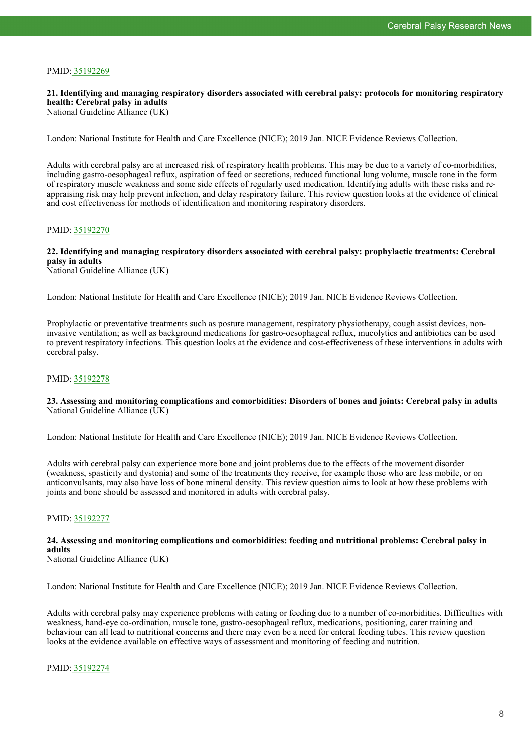# PMID: [35192269](http://www.ncbi.nlm.nih.gov/pubmed/35192269)

# **21. Identifying and managing respiratory disorders associated with cerebral palsy: protocols for monitoring respiratory health: Cerebral palsy in adults**

National Guideline Alliance (UK)

London: National Institute for Health and Care Excellence (NICE); 2019 Jan. NICE Evidence Reviews Collection.

Adults with cerebral palsy are at increased risk of respiratory health problems. This may be due to a variety of co-morbidities, including gastro-oesophageal reflux, aspiration of feed or secretions, reduced functional lung volume, muscle tone in the form of respiratory muscle weakness and some side effects of regularly used medication. Identifying adults with these risks and reappraising risk may help prevent infection, and delay respiratory failure. This review question looks at the evidence of clinical and cost effectiveness for methods of identification and monitoring respiratory disorders.

# PMID: [35192270](http://www.ncbi.nlm.nih.gov/pubmed/35192270)

# **22. Identifying and managing respiratory disorders associated with cerebral palsy: prophylactic treatments: Cerebral palsy in adults**

National Guideline Alliance (UK)

London: National Institute for Health and Care Excellence (NICE); 2019 Jan. NICE Evidence Reviews Collection.

Prophylactic or preventative treatments such as posture management, respiratory physiotherapy, cough assist devices, noninvasive ventilation; as well as background medications for gastro-oesophageal reflux, mucolytics and antibiotics can be used to prevent respiratory infections. This question looks at the evidence and cost-effectiveness of these interventions in adults with cerebral palsy.

# PMID: [35192278](http://www.ncbi.nlm.nih.gov/pubmed/35192278)

# **23. Assessing and monitoring complications and comorbidities: Disorders of bones and joints: Cerebral palsy in adults** National Guideline Alliance (UK)

London: National Institute for Health and Care Excellence (NICE); 2019 Jan. NICE Evidence Reviews Collection.

Adults with cerebral palsy can experience more bone and joint problems due to the effects of the movement disorder (weakness, spasticity and dystonia) and some of the treatments they receive, for example those who are less mobile, or on anticonvulsants, may also have loss of bone mineral density. This review question aims to look at how these problems with joints and bone should be assessed and monitored in adults with cerebral palsy.

# PMID: [35192277](http://www.ncbi.nlm.nih.gov/pubmed/35192277)

# **24. Assessing and monitoring complications and comorbidities: feeding and nutritional problems: Cerebral palsy in adults**

National Guideline Alliance (UK)

London: National Institute for Health and Care Excellence (NICE); 2019 Jan. NICE Evidence Reviews Collection.

Adults with cerebral palsy may experience problems with eating or feeding due to a number of co-morbidities. Difficulties with weakness, hand-eye co-ordination, muscle tone, gastro-oesophageal reflux, medications, positioning, carer training and behaviour can all lead to nutritional concerns and there may even be a need for enteral feeding tubes. This review question looks at the evidence available on effective ways of assessment and monitoring of feeding and nutrition.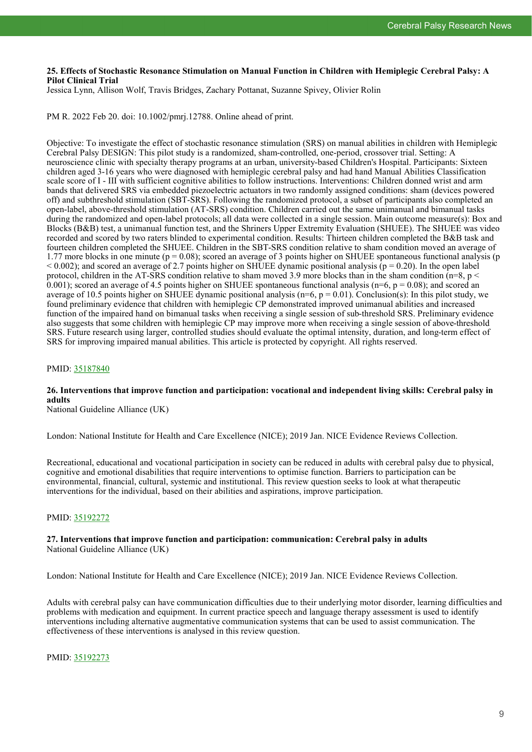# **25. Effects of Stochastic Resonance Stimulation on Manual Function in Children with Hemiplegic Cerebral Palsy: A Pilot Clinical Trial**

Jessica Lynn, Allison Wolf, Travis Bridges, Zachary Pottanat, Suzanne Spivey, Olivier Rolin

PM R. 2022 Feb 20. doi: 10.1002/pmrj.12788. Online ahead of print.

Objective: To investigate the effect of stochastic resonance stimulation (SRS) on manual abilities in children with Hemiplegic Cerebral Palsy DESIGN: This pilot study is a randomized, sham-controlled, one-period, crossover trial. Setting: A neuroscience clinic with specialty therapy programs at an urban, university-based Children's Hospital. Participants: Sixteen children aged 3-16 years who were diagnosed with hemiplegic cerebral palsy and had hand Manual Abilities Classification scale score of I - III with sufficient cognitive abilities to follow instructions. Interventions: Children donned wrist and arm bands that delivered SRS via embedded piezoelectric actuators in two randomly assigned conditions: sham (devices powered off) and subthreshold stimulation (SBT-SRS). Following the randomized protocol, a subset of participants also completed an open-label, above-threshold stimulation (AT-SRS) condition. Children carried out the same unimanual and bimanual tasks during the randomized and open-label protocols; all data were collected in a single session. Main outcome measure(s): Box and Blocks (B&B) test, a unimanual function test, and the Shriners Upper Extremity Evaluation (SHUEE). The SHUEE was video recorded and scored by two raters blinded to experimental condition. Results: Thirteen children completed the B&B task and fourteen children completed the SHUEE. Children in the SBT-SRS condition relative to sham condition moved an average of 1.77 more blocks in one minute ( $p = 0.08$ ); scored an average of 3 points higher on SHUEE spontaneous functional analysis ( $p$ )  $< 0.002$ ); and scored an average of 2.7 points higher on SHUEE dynamic positional analysis ( $p = 0.20$ ). In the open label protocol, children in the AT-SRS condition relative to sham moved 3.9 more blocks than in the sham condition ( $n=8$ ,  $p <$ 0.001); scored an average of 4.5 points higher on SHUEE spontaneous functional analysis ( $n=6$ ,  $p = 0.08$ ); and scored an average of 10.5 points higher on SHUEE dynamic positional analysis ( $n=6$ ,  $p = 0.01$ ). Conclusion(s): In this pilot study, we found preliminary evidence that children with hemiplegic CP demonstrated improved unimanual abilities and increased function of the impaired hand on bimanual tasks when receiving a single session of sub-threshold SRS. Preliminary evidence also suggests that some children with hemiplegic CP may improve more when receiving a single session of above-threshold SRS. Future research using larger, controlled studies should evaluate the optimal intensity, duration, and long-term effect of SRS for improving impaired manual abilities. This article is protected by copyright. All rights reserved.

# PMID: [35187840](http://www.ncbi.nlm.nih.gov/pubmed/35187840)

# **26. Interventions that improve function and participation: vocational and independent living skills: Cerebral palsy in adults**

National Guideline Alliance (UK)

London: National Institute for Health and Care Excellence (NICE); 2019 Jan. NICE Evidence Reviews Collection.

Recreational, educational and vocational participation in society can be reduced in adults with cerebral palsy due to physical, cognitive and emotional disabilities that require interventions to optimise function. Barriers to participation can be environmental, financial, cultural, systemic and institutional. This review question seeks to look at what therapeutic interventions for the individual, based on their abilities and aspirations, improve participation.

# PMID: [35192272](http://www.ncbi.nlm.nih.gov/pubmed/35192272)

# **27. Interventions that improve function and participation: communication: Cerebral palsy in adults** National Guideline Alliance (UK)

London: National Institute for Health and Care Excellence (NICE); 2019 Jan. NICE Evidence Reviews Collection.

Adults with cerebral palsy can have communication difficulties due to their underlying motor disorder, learning difficulties and problems with medication and equipment. In current practice speech and language therapy assessment is used to identify interventions including alternative augmentative communication systems that can be used to assist communication. The effectiveness of these interventions is analysed in this review question.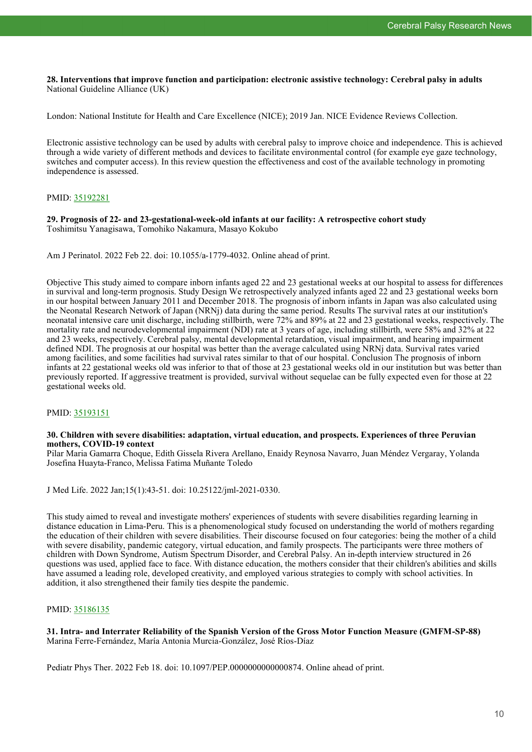**28. Interventions that improve function and participation: electronic assistive technology: Cerebral palsy in adults** National Guideline Alliance (UK)

London: National Institute for Health and Care Excellence (NICE); 2019 Jan. NICE Evidence Reviews Collection.

Electronic assistive technology can be used by adults with cerebral palsy to improve choice and independence. This is achieved through a wide variety of different methods and devices to facilitate environmental control (for example eye gaze technology, switches and computer access). In this review question the effectiveness and cost of the available technology in promoting independence is assessed.

# PMID: [35192281](http://www.ncbi.nlm.nih.gov/pubmed/35192281)

**29. Prognosis of 22- and 23-gestational-week-old infants at our facility: A retrospective cohort study** Toshimitsu Yanagisawa, Tomohiko Nakamura, Masayo Kokubo

Am J Perinatol. 2022 Feb 22. doi: 10.1055/a-1779-4032. Online ahead of print.

Objective This study aimed to compare inborn infants aged 22 and 23 gestational weeks at our hospital to assess for differences in survival and long-term prognosis. Study Design We retrospectively analyzed infants aged 22 and 23 gestational weeks born in our hospital between January 2011 and December 2018. The prognosis of inborn infants in Japan was also calculated using the Neonatal Research Network of Japan (NRNj) data during the same period. Results The survival rates at our institution's neonatal intensive care unit discharge, including stillbirth, were 72% and 89% at 22 and 23 gestational weeks, respectively. The mortality rate and neurodevelopmental impairment (NDI) rate at 3 years of age, including stillbirth, were 58% and 32% at 22 and 23 weeks, respectively. Cerebral palsy, mental developmental retardation, visual impairment, and hearing impairment defined NDI. The prognosis at our hospital was better than the average calculated using NRNj data. Survival rates varied among facilities, and some facilities had survival rates similar to that of our hospital. Conclusion The prognosis of inborn infants at 22 gestational weeks old was inferior to that of those at 23 gestational weeks old in our institution but was better than previously reported. If aggressive treatment is provided, survival without sequelae can be fully expected even for those at 22 gestational weeks old.

# PMID: [35193151](http://www.ncbi.nlm.nih.gov/pubmed/35193151)

#### **30. Children with severe disabilities: adaptation, virtual education, and prospects. Experiences of three Peruvian mothers, COVID-19 context**

Pilar Maria Gamarra Choque, Edith Gissela Rivera Arellano, Enaidy Reynosa Navarro, Juan Méndez Vergaray, Yolanda Josefina Huayta-Franco, Melissa Fatima Muñante Toledo

J Med Life. 2022 Jan;15(1):43-51. doi: 10.25122/jml-2021-0330.

This study aimed to reveal and investigate mothers' experiences of students with severe disabilities regarding learning in distance education in Lima-Peru. This is a phenomenological study focused on understanding the world of mothers regarding the education of their children with severe disabilities. Their discourse focused on four categories: being the mother of a child with severe disability, pandemic category, virtual education, and family prospects. The participants were three mothers of children with Down Syndrome, Autism Spectrum Disorder, and Cerebral Palsy. An in-depth interview structured in 26 questions was used, applied face to face. With distance education, the mothers consider that their children's abilities and skills have assumed a leading role, developed creativity, and employed various strategies to comply with school activities. In addition, it also strengthened their family ties despite the pandemic.

# PMID: [35186135](http://www.ncbi.nlm.nih.gov/pubmed/35186135)

# **31. Intra- and Interrater Reliability of the Spanish Version of the Gross Motor Function Measure (GMFM-SP-88)** Marina Ferre-Fernández, María Antonia Murcia-González, José Ríos-Díaz

Pediatr Phys Ther. 2022 Feb 18. doi: 10.1097/PEP.0000000000000874. Online ahead of print.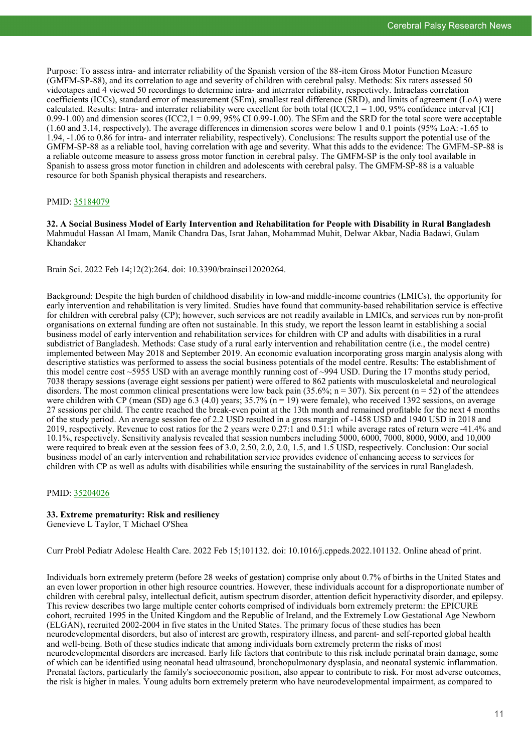Purpose: To assess intra- and interrater reliability of the Spanish version of the 88-item Gross Motor Function Measure (GMFM-SP-88), and its correlation to age and severity of children with cerebral palsy. Methods: Six raters assessed 50 videotapes and 4 viewed 50 recordings to determine intra- and interrater reliability, respectively. Intraclass correlation coefficients (ICCs), standard error of measurement (SEm), smallest real difference (SRD), and limits of agreement (LoA) were calculated. Results: Intra- and interrater reliability were excellent for both total (ICC2, $1 = 1.00$ , 95% confidence interval [CI] 0.99-1.00) and dimension scores (ICC2,1 = 0.99, 95% CI 0.99-1.00). The SEm and the SRD for the total score were acceptable (1.60 and 3.14, respectively). The average differences in dimension scores were below 1 and 0.1 points (95% LoA: -1.65 to 1.94, -1.06 to 0.86 for intra- and interrater reliability, respectively). Conclusions: The results support the potential use of the GMFM-SP-88 as a reliable tool, having correlation with age and severity. What this adds to the evidence: The GMFM-SP-88 is a reliable outcome measure to assess gross motor function in cerebral palsy. The GMFM-SP is the only tool available in Spanish to assess gross motor function in children and adolescents with cerebral palsy. The GMFM-SP-88 is a valuable resource for both Spanish physical therapists and researchers.

# PMID: [35184079](http://www.ncbi.nlm.nih.gov/pubmed/35184079)

**32. A Social Business Model of Early Intervention and Rehabilitation for People with Disability in Rural Bangladesh** Mahmudul Hassan Al Imam, Manik Chandra Das, Israt Jahan, Mohammad Muhit, Delwar Akbar, Nadia Badawi, Gulam Khandaker

Brain Sci. 2022 Feb 14;12(2):264. doi: 10.3390/brainsci12020264.

Background: Despite the high burden of childhood disability in low-and middle-income countries (LMICs), the opportunity for early intervention and rehabilitation is very limited. Studies have found that community-based rehabilitation service is effective for children with cerebral palsy (CP); however, such services are not readily available in LMICs, and services run by non-profit organisations on external funding are often not sustainable. In this study, we report the lesson learnt in establishing a social business model of early intervention and rehabilitation services for children with CP and adults with disabilities in a rural subdistrict of Bangladesh. Methods: Case study of a rural early intervention and rehabilitation centre (i.e., the model centre) implemented between May 2018 and September 2019. An economic evaluation incorporating gross margin analysis along with descriptive statistics was performed to assess the social business potentials of the model centre. Results: The establishment of this model centre cost ~5955 USD with an average monthly running cost of ~994 USD. During the 17 months study period, 7038 therapy sessions (average eight sessions per patient) were offered to 862 patients with musculoskeletal and neurological disorders. The most common clinical presentations were low back pain (35.6%;  $n = 307$ ). Six percent ( $n = 52$ ) of the attendees were children with CP (mean (SD) age 6.3 (4.0) years;  $35.7\%$  (n = 19) were female), who received 1392 sessions, on average 27 sessions per child. The centre reached the break-even point at the 13th month and remained profitable for the next 4 months of the study period. An average session fee of 2.2 USD resulted in a gross margin of -1458 USD and 1940 USD in 2018 and 2019, respectively. Revenue to cost ratios for the 2 years were 0.27:1 and 0.51:1 while average rates of return were -41.4% and 10.1%, respectively. Sensitivity analysis revealed that session numbers including 5000, 6000, 7000, 8000, 9000, and 10,000 were required to break even at the session fees of 3.0, 2.50, 2.0, 2.0, 1.5, and 1.5 USD, respectively. Conclusion: Our social business model of an early intervention and rehabilitation service provides evidence of enhancing access to services for children with CP as well as adults with disabilities while ensuring the sustainability of the services in rural Bangladesh.

# PMID: [35204026](http://www.ncbi.nlm.nih.gov/pubmed/35204026)

#### **33. Extreme prematurity: Risk and resiliency** Genevieve L Taylor, T Michael O'Shea

Curr Probl Pediatr Adolesc Health Care. 2022 Feb 15;101132. doi: 10.1016/j.cppeds.2022.101132. Online ahead of print.

Individuals born extremely preterm (before 28 weeks of gestation) comprise only about 0.7% of births in the United States and an even lower proportion in other high resource countries. However, these individuals account for a disproportionate number of children with cerebral palsy, intellectual deficit, autism spectrum disorder, attention deficit hyperactivity disorder, and epilepsy. This review describes two large multiple center cohorts comprised of individuals born extremely preterm: the EPICURE cohort, recruited 1995 in the United Kingdom and the Republic of Ireland, and the Extremely Low Gestational Age Newborn (ELGAN), recruited 2002-2004 in five states in the United States. The primary focus of these studies has been neurodevelopmental disorders, but also of interest are growth, respiratory illness, and parent- and self-reported global health and well-being. Both of these studies indicate that among individuals born extremely preterm the risks of most neurodevelopmental disorders are increased. Early life factors that contribute to this risk include perinatal brain damage, some of which can be identified using neonatal head ultrasound, bronchopulmonary dysplasia, and neonatal systemic inflammation. Prenatal factors, particularly the family's socioeconomic position, also appear to contribute to risk. For most adverse outcomes, the risk is higher in males. Young adults born extremely preterm who have neurodevelopmental impairment, as compared to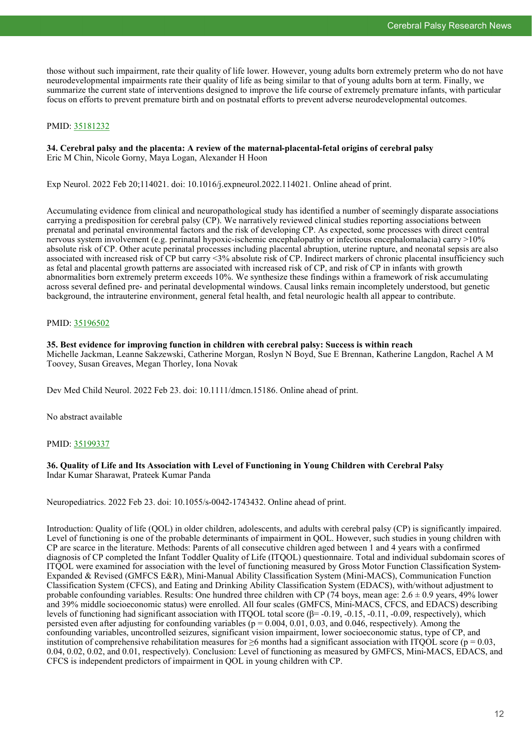those without such impairment, rate their quality of life lower. However, young adults born extremely preterm who do not have neurodevelopmental impairments rate their quality of life as being similar to that of young adults born at term. Finally, we summarize the current state of interventions designed to improve the life course of extremely premature infants, with particular focus on efforts to prevent premature birth and on postnatal efforts to prevent adverse neurodevelopmental outcomes.

# PMID: [35181232](http://www.ncbi.nlm.nih.gov/pubmed/35181232)

# **34. Cerebral palsy and the placenta: A review of the maternal-placental-fetal origins of cerebral palsy** Eric M Chin, Nicole Gorny, Maya Logan, Alexander H Hoon

Exp Neurol. 2022 Feb 20;114021. doi: 10.1016/j.expneurol.2022.114021. Online ahead of print.

Accumulating evidence from clinical and neuropathological study has identified a number of seemingly disparate associations carrying a predisposition for cerebral palsy (CP). We narratively reviewed clinical studies reporting associations between prenatal and perinatal environmental factors and the risk of developing CP. As expected, some processes with direct central nervous system involvement (e.g. perinatal hypoxic-ischemic encephalopathy or infectious encephalomalacia) carry >10% absolute risk of CP. Other acute perinatal processes including placental abruption, uterine rupture, and neonatal sepsis are also associated with increased risk of CP but carry <3% absolute risk of CP. Indirect markers of chronic placental insufficiency such as fetal and placental growth patterns are associated with increased risk of CP, and risk of CP in infants with growth abnormalities born extremely preterm exceeds 10%. We synthesize these findings within a framework of risk accumulating across several defined pre- and perinatal developmental windows. Causal links remain incompletely understood, but genetic background, the intrauterine environment, general fetal health, and fetal neurologic health all appear to contribute.

# PMID: [35196502](http://www.ncbi.nlm.nih.gov/pubmed/35196502)

#### **35. Best evidence for improving function in children with cerebral palsy: Success is within reach** Michelle Jackman, Leanne Sakzewski, Catherine Morgan, Roslyn N Boyd, Sue E Brennan, Katherine Langdon, Rachel A M

Dev Med Child Neurol. 2022 Feb 23. doi: 10.1111/dmcn.15186. Online ahead of print.

Toovey, Susan Greaves, Megan Thorley, Iona Novak

No abstract available

# PMID: [35199337](http://www.ncbi.nlm.nih.gov/pubmed/35199337)

# **36. Quality of Life and Its Association with Level of Functioning in Young Children with Cerebral Palsy** Indar Kumar Sharawat, Prateek Kumar Panda

Neuropediatrics. 2022 Feb 23. doi: 10.1055/s-0042-1743432. Online ahead of print.

Introduction: Quality of life (QOL) in older children, adolescents, and adults with cerebral palsy (CP) is significantly impaired. Level of functioning is one of the probable determinants of impairment in QOL. However, such studies in young children with CP are scarce in the literature. Methods: Parents of all consecutive children aged between 1 and 4 years with a confirmed diagnosis of CP completed the Infant Toddler Quality of Life (ITQOL) questionnaire. Total and individual subdomain scores of ITQOL were examined for association with the level of functioning measured by Gross Motor Function Classification System-Expanded & Revised (GMFCS E&R), Mini-Manual Ability Classification System (Mini-MACS), Communication Function Classification System (CFCS), and Eating and Drinking Ability Classification System (EDACS), with/without adjustment to probable confounding variables. Results: One hundred three children with CP (74 boys, mean age:  $2.6 \pm 0.9$  years, 49% lower and 39% middle socioeconomic status) were enrolled. All four scales (GMFCS, Mini-MACS, CFCS, and EDACS) describing levels of functioning had significant association with ITQOL total score  $(\beta = -0.19, -0.15, -0.11, -0.09,$  respectively), which persisted even after adjusting for confounding variables ( $p = 0.004, 0.01, 0.03$ , and 0.046, respectively). Among the confounding variables, uncontrolled seizures, significant vision impairment, lower socioeconomic status, type of CP, and institution of comprehensive rehabilitation measures for  $\geq 6$  months had a significant association with ITOOL score ( $p = 0.03$ , 0.04, 0.02, 0.02, and 0.01, respectively). Conclusion: Level of functioning as measured by GMFCS, Mini-MACS, EDACS, and CFCS is independent predictors of impairment in QOL in young children with CP.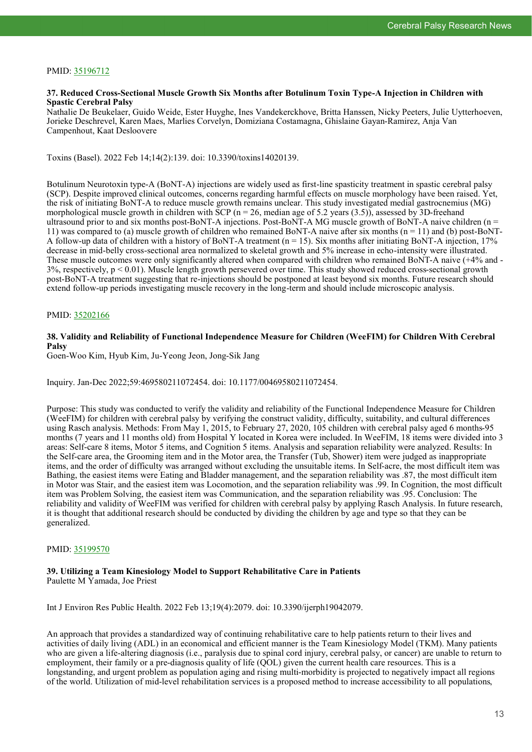# PMID: [35196712](http://www.ncbi.nlm.nih.gov/pubmed/35196712)

# **37. Reduced Cross-Sectional Muscle Growth Six Months after Botulinum Toxin Type-A Injection in Children with Spastic Cerebral Palsy**

Nathalie De Beukelaer, Guido Weide, Ester Huyghe, Ines Vandekerckhove, Britta Hanssen, Nicky Peeters, Julie Uytterhoeven, Jorieke Deschrevel, Karen Maes, Marlies Corvelyn, Domiziana Costamagna, Ghislaine Gayan-Ramirez, Anja Van Campenhout, Kaat Desloovere

Toxins (Basel). 2022 Feb 14;14(2):139. doi: 10.3390/toxins14020139.

Botulinum Neurotoxin type-A (BoNT-A) injections are widely used as first-line spasticity treatment in spastic cerebral palsy (SCP). Despite improved clinical outcomes, concerns regarding harmful effects on muscle morphology have been raised. Yet, the risk of initiating BoNT-A to reduce muscle growth remains unclear. This study investigated medial gastrocnemius (MG) morphological muscle growth in children with SCP ( $n = 26$ , median age of 5.2 years (3.5)), assessed by 3D-freehand ultrasound prior to and six months post-BoNT-A injections. Post-BoNT-A MG muscle growth of BoNT-A naive children (n = 11) was compared to (a) muscle growth of children who remained BoNT-A naive after six months ( $n = 11$ ) and (b) post-BoNT-A follow-up data of children with a history of BoNT-A treatment  $(n = 15)$ . Six months after initiating BoNT-A injection, 17% decrease in mid-belly cross-sectional area normalized to skeletal growth and 5% increase in echo-intensity were illustrated. These muscle outcomes were only significantly altered when compared with children who remained BoNT-A naive (+4% and -  $3\%$ , respectively,  $p < 0.01$ ). Muscle length growth persevered over time. This study showed reduced cross-sectional growth post-BoNT-A treatment suggesting that re-injections should be postponed at least beyond six months. Future research should extend follow-up periods investigating muscle recovery in the long-term and should include microscopic analysis.

# PMID: [35202166](http://www.ncbi.nlm.nih.gov/pubmed/35202166)

# **38. Validity and Reliability of Functional Independence Measure for Children (WeeFIM) for Children With Cerebral Palsy**

Goen-Woo Kim, Hyub Kim, Ju-Yeong Jeon, Jong-Sik Jang

Inquiry. Jan-Dec 2022;59:469580211072454. doi: 10.1177/00469580211072454.

Purpose: This study was conducted to verify the validity and reliability of the Functional Independence Measure for Children (WeeFIM) for children with cerebral palsy by verifying the construct validity, difficulty, suitability, and cultural differences using Rasch analysis. Methods: From May 1, 2015, to February 27, 2020, 105 children with cerebral palsy aged 6 months-95 months (7 years and 11 months old) from Hospital Y located in Korea were included. In WeeFIM, 18 items were divided into 3 areas: Self-care 8 items, Motor 5 items, and Cognition 5 items. Analysis and separation reliability were analyzed. Results: In the Self-care area, the Grooming item and in the Motor area, the Transfer (Tub, Shower) item were judged as inappropriate items, and the order of difficulty was arranged without excluding the unsuitable items. In Self-acre, the most difficult item was Bathing, the easiest items were Eating and Bladder management, and the separation reliability was .87, the most difficult item in Motor was Stair, and the easiest item was Locomotion, and the separation reliability was .99. In Cognition, the most difficult item was Problem Solving, the easiest item was Communication, and the separation reliability was .95. Conclusion: The reliability and validity of WeeFIM was verified for children with cerebral palsy by applying Rasch Analysis. In future research, it is thought that additional research should be conducted by dividing the children by age and type so that they can be generalized.

# PMID: [35199570](http://www.ncbi.nlm.nih.gov/pubmed/35199570)

# **39. Utilizing a Team Kinesiology Model to Support Rehabilitative Care in Patients**

Paulette M Yamada, Joe Priest

Int J Environ Res Public Health. 2022 Feb 13;19(4):2079. doi: 10.3390/ijerph19042079.

An approach that provides a standardized way of continuing rehabilitative care to help patients return to their lives and activities of daily living (ADL) in an economical and efficient manner is the Team Kinesiology Model (TKM). Many patients who are given a life-altering diagnosis (i.e., paralysis due to spinal cord injury, cerebral palsy, or cancer) are unable to return to employment, their family or a pre-diagnosis quality of life (QOL) given the current health care resources. This is a longstanding, and urgent problem as population aging and rising multi-morbidity is projected to negatively impact all regions of the world. Utilization of mid-level rehabilitation services is a proposed method to increase accessibility to all populations,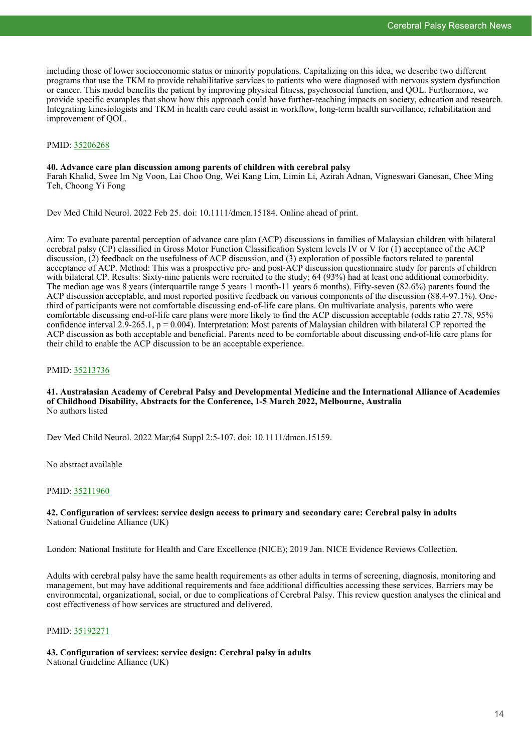including those of lower socioeconomic status or minority populations. Capitalizing on this idea, we describe two different programs that use the TKM to provide rehabilitative services to patients who were diagnosed with nervous system dysfunction or cancer. This model benefits the patient by improving physical fitness, psychosocial function, and QOL. Furthermore, we provide specific examples that show how this approach could have further-reaching impacts on society, education and research. Integrating kinesiologists and TKM in health care could assist in workflow, long-term health surveillance, rehabilitation and improvement of QOL.

#### PMID: [35206268](http://www.ncbi.nlm.nih.gov/pubmed/35206268)

#### **40. Advance care plan discussion among parents of children with cerebral palsy**

Farah Khalid, Swee Im Ng Voon, Lai Choo Ong, Wei Kang Lim, Limin Li, Azirah Adnan, Vigneswari Ganesan, Chee Ming Teh, Choong Yi Fong

Dev Med Child Neurol. 2022 Feb 25. doi: 10.1111/dmcn.15184. Online ahead of print.

Aim: To evaluate parental perception of advance care plan (ACP) discussions in families of Malaysian children with bilateral cerebral palsy (CP) classified in Gross Motor Function Classification System levels IV or V for (1) acceptance of the ACP discussion, (2) feedback on the usefulness of ACP discussion, and (3) exploration of possible factors related to parental acceptance of ACP. Method: This was a prospective pre- and post-ACP discussion questionnaire study for parents of children with bilateral CP. Results: Sixty-nine patients were recruited to the study; 64 (93%) had at least one additional comorbidity. The median age was 8 years (interquartile range 5 years 1 month-11 years 6 months). Fifty-seven (82.6%) parents found the ACP discussion acceptable, and most reported positive feedback on various components of the discussion (88.4-97.1%). Onethird of participants were not comfortable discussing end-of-life care plans. On multivariate analysis, parents who were comfortable discussing end-of-life care plans were more likely to find the ACP discussion acceptable (odds ratio 27.78, 95% confidence interval 2.9-265.1,  $p = 0.004$ ). Interpretation: Most parents of Malaysian children with bilateral CP reported the ACP discussion as both acceptable and beneficial. Parents need to be comfortable about discussing end-of-life care plans for their child to enable the ACP discussion to be an acceptable experience.

# PMID: [35213736](http://www.ncbi.nlm.nih.gov/pubmed/35213736)

#### **41. Australasian Academy of Cerebral Palsy and Developmental Medicine and the International Alliance of Academies of Childhood Disability, Abstracts for the Conference, 1-5 March 2022, Melbourne, Australia** No authors listed

Dev Med Child Neurol. 2022 Mar;64 Suppl 2:5-107. doi: 10.1111/dmcn.15159.

No abstract available

# PMID: [35211960](http://www.ncbi.nlm.nih.gov/pubmed/35211960)

# **42. Configuration of services: service design access to primary and secondary care: Cerebral palsy in adults** National Guideline Alliance (UK)

London: National Institute for Health and Care Excellence (NICE); 2019 Jan. NICE Evidence Reviews Collection.

Adults with cerebral palsy have the same health requirements as other adults in terms of screening, diagnosis, monitoring and management, but may have additional requirements and face additional difficulties accessing these services. Barriers may be environmental, organizational, social, or due to complications of Cerebral Palsy. This review question analyses the clinical and cost effectiveness of how services are structured and delivered.

# PMID: [35192271](http://www.ncbi.nlm.nih.gov/pubmed/35192271)

#### **43. Configuration of services: service design: Cerebral palsy in adults** National Guideline Alliance (UK)